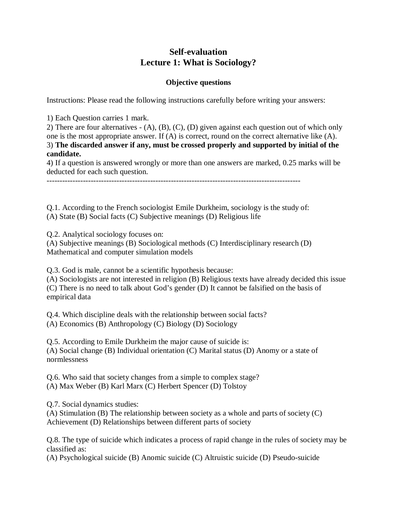## **Self-evaluation Lecture 1: What is Sociology?**

## **Objective questions**

Instructions: Please read the following instructions carefully before writing your answers:

1) Each Question carries 1 mark.

2) There are four alternatives - (A), (B), (C), (D) given against each question out of which only one is the most appropriate answer. If (A) is correct, round on the correct alternative like (A). 3) **The discarded answer if any, must be crossed properly and supported by initial of the candidate.**

4) If a question is answered wrongly or more than one answers are marked, 0.25 marks will be deducted for each such question.

--------------------------------------------------------------------------------------------------

Q.1. According to the French sociologist Emile Durkheim, sociology is the study of: (A) State (B) Social facts (C) Subjective meanings (D) Religious life

Q.2. Analytical sociology focuses on:

(A) Subjective meanings (B) Sociological methods (C) Interdisciplinary research (D) Mathematical and computer simulation models

Q.3. God is male, cannot be a scientific hypothesis because:

(A) Sociologists are not interested in religion (B) Religious texts have already decided this issue (C) There is no need to talk about God's gender (D) It cannot be falsified on the basis of empirical data

Q.4. Which discipline deals with the relationship between social facts? (A) Economics (B) Anthropology (C) Biology (D) Sociology

Q.5. According to Emile Durkheim the major cause of suicide is: (A) Social change (B) Individual orientation (C) Marital status (D) Anomy or a state of normlessness

Q.6. Who said that society changes from a simple to complex stage? (A) Max Weber (B) Karl Marx (C) Herbert Spencer (D) Tolstoy

Q.7. Social dynamics studies:

(A) Stimulation (B) The relationship between society as a whole and parts of society (C) Achievement (D) Relationships between different parts of society

Q.8. The type of suicide which indicates a process of rapid change in the rules of society may be classified as:

(A) Psychological suicide (B) Anomic suicide (C) Altruistic suicide (D) Pseudo-suicide